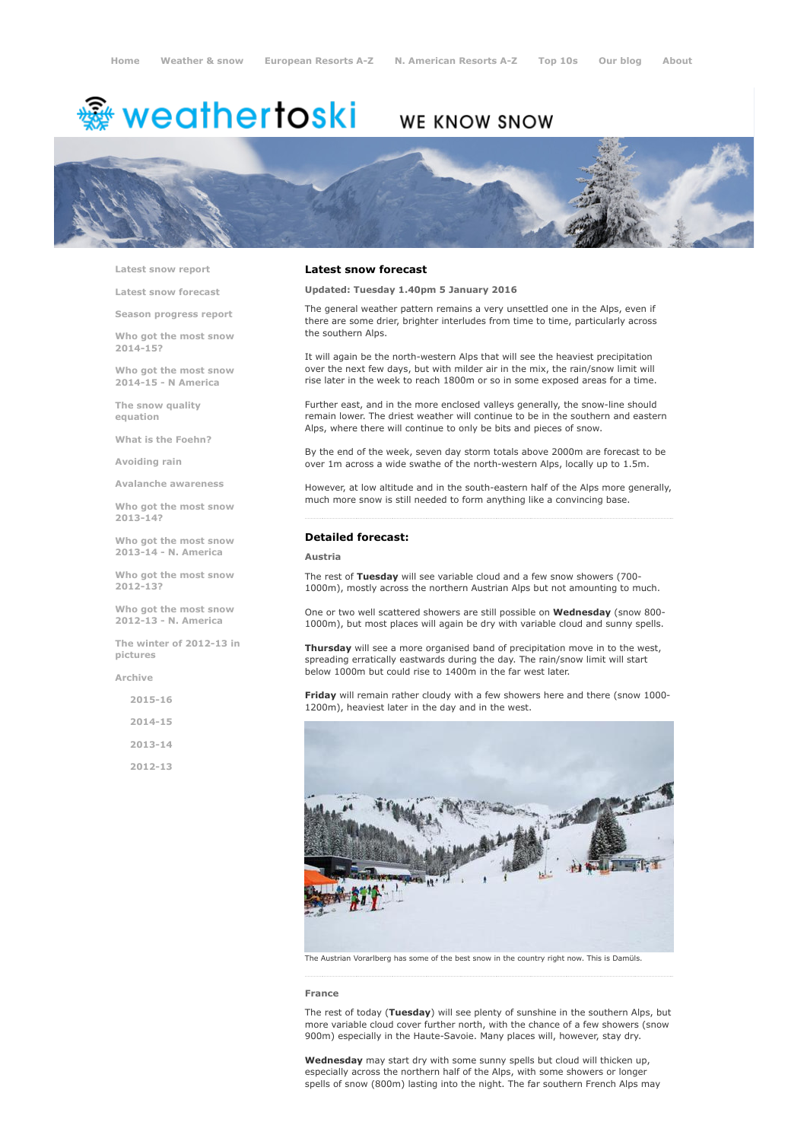# <sup>霧</sup> weathertoski

# WE KNOW SNOW



Latest snow [report](http://www.weathertoski.co.uk/weather-snow/latest-snow-report/)

Latest snow [forecast](http://www.weathertoski.co.uk/weather-snow/latest-snow-forecast/)

Season [progress](http://www.weathertoski.co.uk/weather-snow/season-progress-report/) report

Who got the most snow 2014-15?

Who got the most snow 2014-15 - N America

The snow quality [equation](http://www.weathertoski.co.uk/weather-snow/the-snow-quality-equation/)

What is the [Foehn?](http://www.weathertoski.co.uk/weather-snow/what-is-the-foehn/)

[Avoiding](http://www.weathertoski.co.uk/weather-snow/avoiding-rain/) rain

Avalanche [awareness](http://www.weathertoski.co.uk/weather-snow/avalanche-awareness/)

Who got the most snow 2013-14?

Who got the most snow 2013-14 - N. America

Who got the most snow 2012-13?

Who got the most snow 2012-13 - N. America

The winter of 2012-13 in pictures

[Archive](http://www.weathertoski.co.uk/weather-snow/archive/)

2015-16

2014-15

2013-14

2012-13

#### Latest snow forecast

Updated: Tuesday 1.40pm 5 January 2016

The general weather pattern remains a very unsettled one in the Alps, even if there are some drier, brighter interludes from time to time, particularly across the southern Alps.

It will again be the north-western Alps that will see the heaviest precipitation over the next few days, but with milder air in the mix, the rain/snow limit will rise later in the week to reach 1800m or so in some exposed areas for a time.

Further east, and in the more enclosed valleys generally, the snow-line should remain lower. The driest weather will continue to be in the southern and eastern Alps, where there will continue to only be bits and pieces of snow.

By the end of the week, seven day storm totals above 2000m are forecast to be over 1m across a wide swathe of the north-western Alps, locally up to 1.5m.

However, at low altitude and in the south-eastern half of the Alps more generally, much more snow is still needed to form anything like a convincing base.

### Detailed forecast:

#### Austria

The rest of Tuesday will see variable cloud and a few snow showers (700-1000m), mostly across the northern Austrian Alps but not amounting to much.

One or two well scattered showers are still possible on Wednesday (snow 800-1000m), but most places will again be dry with variable cloud and sunny spells.

**Thursday** will see a more organised band of precipitation move in to the west, spreading erratically eastwards during the day. The rain/snow limit will start below 1000m but could rise to 1400m in the far west later.

Friday will remain rather cloudy with a few showers here and there (snow 1000-1200m), heaviest later in the day and in the west.



The Austrian Vorarlberg has some of the best snow in the country right now. This is Damüls.

#### France

The rest of today (Tuesday) will see plenty of sunshine in the southern Alps, but more variable cloud cover further north, with the chance of a few showers (snow 900m) especially in the Haute-Savoie. Many places will, however, stay dry.

Wednesday may start dry with some sunny spells but cloud will thicken up, especially across the northern half of the Alps, with some showers or longer spells of snow (800m) lasting into the night. The far southern French Alps may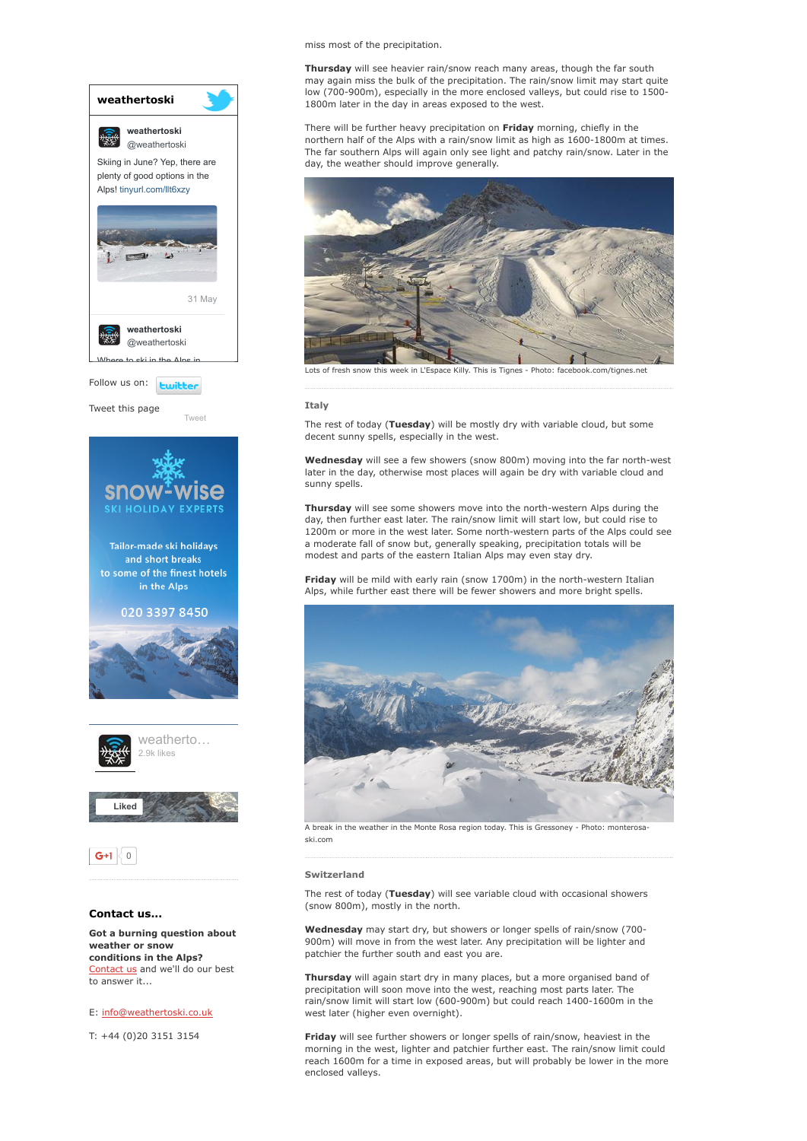

conditions in the Alps? [Contact](http://www.weathertoski.co.uk/about-1/contact-us/) us and we'll do our best to answer it...

E: [info@weathertoski.co.uk](mailto:fraser@weathertoski.co.uk)

T: +44 (0)20 3151 3154

miss most of the precipitation.

Thursday will see heavier rain/snow reach many areas, though the far south may again miss the bulk of the precipitation. The rain/snow limit may start quite low (700-900m), especially in the more enclosed valleys, but could rise to 1500-1800m later in the day in areas exposed to the west.

There will be further heavy precipitation on Friday morning, chiefly in the northern half of the Alps with a rain/snow limit as high as 1600-1800m at times. The far southern Alps will again only see light and patchy rain/snow. Later in the day, the weather should improve generally.



Lots of fresh snow this week in L'Espace Killy. This is Tignes - Photo: facebook.com/tignes.net

#### **Ttaly**

The rest of today (Tuesday) will be mostly dry with variable cloud, but some decent sunny spells, especially in the west.

Wednesday will see a few showers (snow 800m) moving into the far north-west later in the day, otherwise most places will again be dry with variable cloud and sunny spells.

Thursday will see some showers move into the north-western Alps during the day, then further east later. The rain/snow limit will start low, but could rise to 1200m or more in the west later. Some north-western parts of the Alps could see a moderate fall of snow but, generally speaking, precipitation totals will be modest and parts of the eastern Italian Alps may even stay dry.

Friday will be mild with early rain (snow 1700m) in the north-western Italian Alps, while further east there will be fewer showers and more bright spells.



A break in the weather in the Monte Rosa region today. This is Gressoney - Photo: monterosa ski.com

#### Switzerland

The rest of today (Tuesday) will see variable cloud with occasional showers (snow 800m), mostly in the north.

Wednesday may start dry, but showers or longer spells of rain/snow (700-900m) will move in from the west later. Any precipitation will be lighter and patchier the further south and east you are.

Thursday will again start dry in many places, but a more organised band of precipitation will soon move into the west, reaching most parts later. The rain/snow limit will start low (600-900m) but could reach 1400-1600m in the west later (higher even overnight).

Friday will see further showers or longer spells of rain/snow, heaviest in the morning in the west, lighter and patchier further east. The rain/snow limit could reach 1600m for a time in exposed areas, but will probably be lower in the more enclosed valleys.